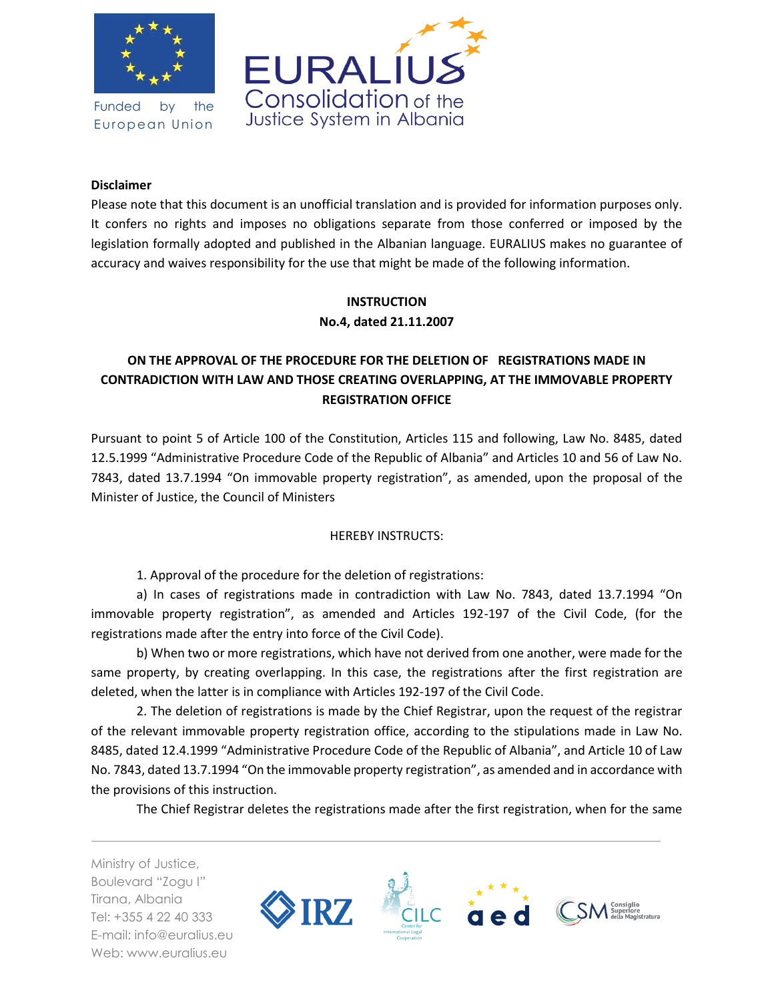

Funded by the European Union



### **Disclaimer**

Please note that this document is an unofficial translation and is provided for information purposes only. It confers no rights and imposes no obligations separate from those conferred or imposed by the legislation formally adopted and published in the Albanian language. EURALIUS makes no guarantee of accuracy and waives responsibility for the use that might be made of the following information.

## **INSTRUCTION No.4, dated 21.11.2007**

# **ON THE APPROVAL OF THE PROCEDURE FOR THE DELETION OF REGISTRATIONS MADE IN CONTRADICTION WITH LAW AND THOSE CREATING OVERLAPPING, AT THE IMMOVABLE PROPERTY REGISTRATION OFFICE**

Pursuant to point 5 of Article 100 of the Constitution, Articles 115 and following, Law No. 8485, dated 12.5.1999 "Administrative Procedure Code of the Republic of Albania" and Articles 10 and 56 of Law No. 7843, dated 13.7.1994 "On immovable property registration", as amended, upon the proposal of the Minister of Justice, the Council of Ministers

## HEREBY INSTRUCTS:

1. Approval of the procedure for the deletion of registrations:

a) In cases of registrations made in contradiction with Law No. 7843, dated 13.7.1994 "On immovable property registration", as amended and Articles 192-197 of the Civil Code, (for the registrations made after the entry into force of the Civil Code).

b) When two or more registrations, which have not derived from one another, were made for the same property, by creating overlapping. In this case, the registrations after the first registration are deleted, when the latter is in compliance with Articles 192-197 of the Civil Code.

2. The deletion of registrations is made by the Chief Registrar, upon the request of the registrar of the relevant immovable property registration office, according to the stipulations made in Law No. 8485, dated 12.4.1999 "Administrative Procedure Code of the Republic of Albania", and Article 10 of Law No. 7843, dated 13.7.1994 "On the immovable property registration", as amended and in accordance with the provisions of this instruction.

The Chief Registrar deletes the registrations made after the first registration, when for the same

Ministry of Justice, Boulevard "Zogu I" Tirana, Albania Tel: +355 4 22 40 333 E-mail: info@euralius.eu Web: www.euralius.eu

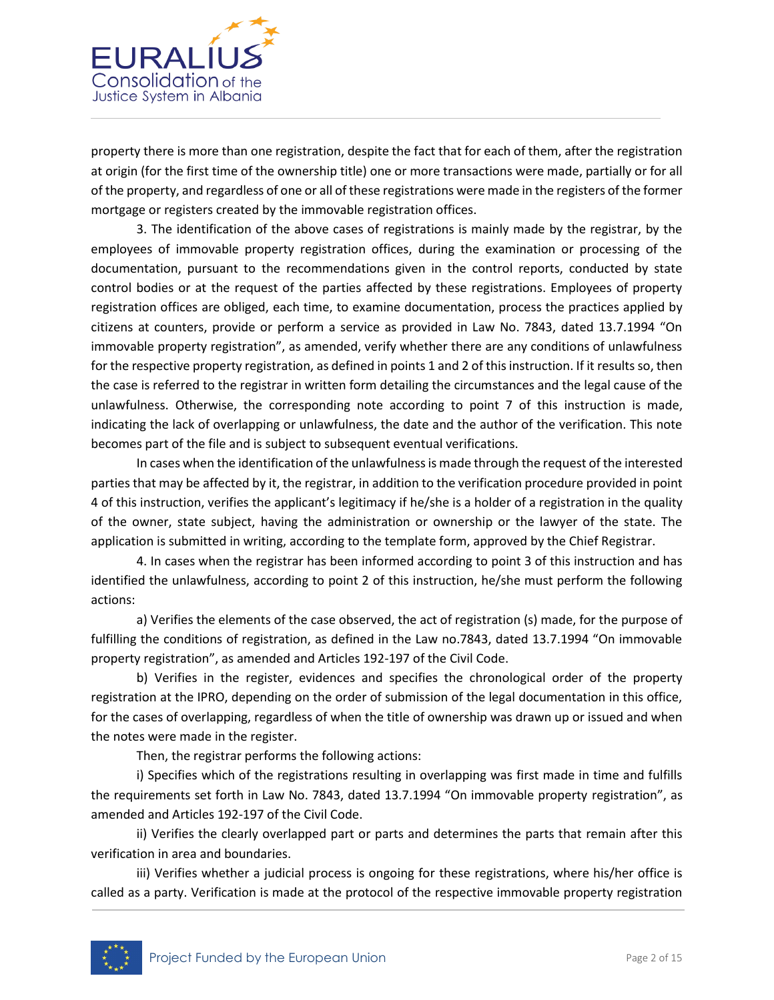

property there is more than one registration, despite the fact that for each of them, after the registration at origin (for the first time of the ownership title) one or more transactions were made, partially or for all of the property, and regardless of one or all of these registrations were made in the registers of the former mortgage or registers created by the immovable registration offices.

3. The identification of the above cases of registrations is mainly made by the registrar, by the employees of immovable property registration offices, during the examination or processing of the documentation, pursuant to the recommendations given in the control reports, conducted by state control bodies or at the request of the parties affected by these registrations. Employees of property registration offices are obliged, each time, to examine documentation, process the practices applied by citizens at counters, provide or perform a service as provided in Law No. 7843, dated 13.7.1994 "On immovable property registration", as amended, verify whether there are any conditions of unlawfulness for the respective property registration, as defined in points 1 and 2 of this instruction. If it results so, then the case is referred to the registrar in written form detailing the circumstances and the legal cause of the unlawfulness. Otherwise, the corresponding note according to point 7 of this instruction is made, indicating the lack of overlapping or unlawfulness, the date and the author of the verification. This note becomes part of the file and is subject to subsequent eventual verifications.

In cases when the identification of the unlawfulness is made through the request of the interested parties that may be affected by it, the registrar, in addition to the verification procedure provided in point 4 of this instruction, verifies the applicant's legitimacy if he/she is a holder of a registration in the quality of the owner, state subject, having the administration or ownership or the lawyer of the state. The application is submitted in writing, according to the template form, approved by the Chief Registrar.

4. In cases when the registrar has been informed according to point 3 of this instruction and has identified the unlawfulness, according to point 2 of this instruction, he/she must perform the following actions:

a) Verifies the elements of the case observed, the act of registration (s) made, for the purpose of fulfilling the conditions of registration, as defined in the Law no.7843, dated 13.7.1994 "On immovable property registration", as amended and Articles 192-197 of the Civil Code.

b) Verifies in the register, evidences and specifies the chronological order of the property registration at the IPRO, depending on the order of submission of the legal documentation in this office, for the cases of overlapping, regardless of when the title of ownership was drawn up or issued and when the notes were made in the register.

Then, the registrar performs the following actions:

i) Specifies which of the registrations resulting in overlapping was first made in time and fulfills the requirements set forth in Law No. 7843, dated 13.7.1994 "On immovable property registration", as amended and Articles 192-197 of the Civil Code.

ii) Verifies the clearly overlapped part or parts and determines the parts that remain after this verification in area and boundaries.

iii) Verifies whether a judicial process is ongoing for these registrations, where his/her office is called as a party. Verification is made at the protocol of the respective immovable property registration

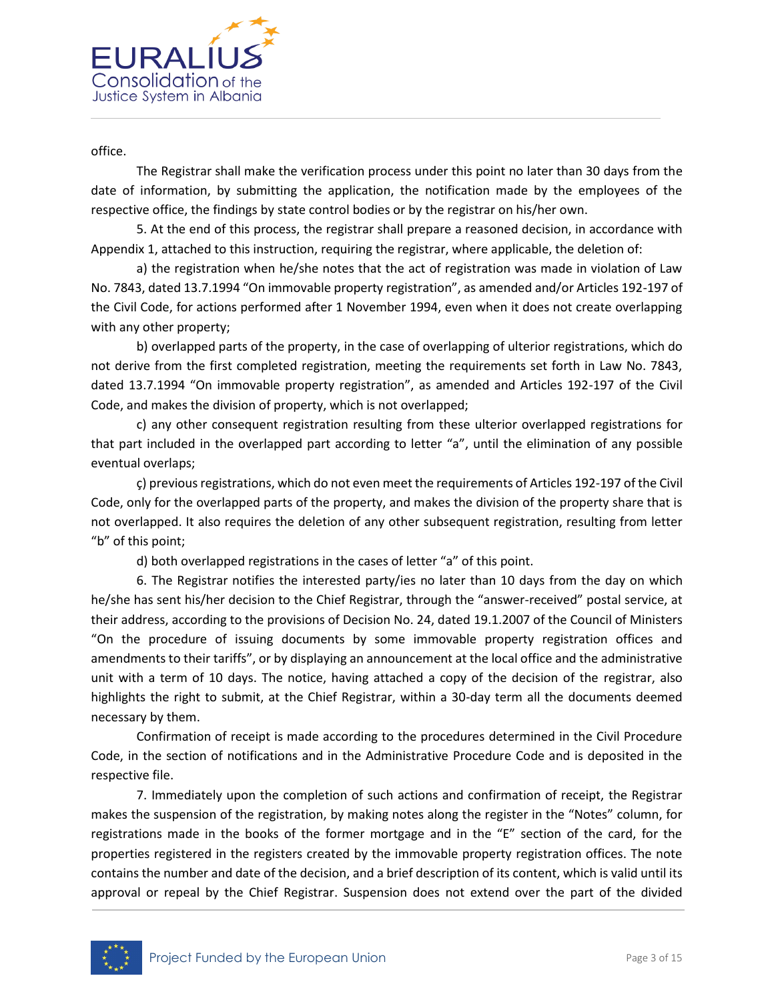

office.

The Registrar shall make the verification process under this point no later than 30 days from the date of information, by submitting the application, the notification made by the employees of the respective office, the findings by state control bodies or by the registrar on his/her own.

5. At the end of this process, the registrar shall prepare a reasoned decision, in accordance with Appendix 1, attached to this instruction, requiring the registrar, where applicable, the deletion of:

a) the registration when he/she notes that the act of registration was made in violation of Law No. 7843, dated 13.7.1994 "On immovable property registration", as amended and/or Articles 192-197 of the Civil Code, for actions performed after 1 November 1994, even when it does not create overlapping with any other property;

b) overlapped parts of the property, in the case of overlapping of ulterior registrations, which do not derive from the first completed registration, meeting the requirements set forth in Law No. 7843, dated 13.7.1994 "On immovable property registration", as amended and Articles 192-197 of the Civil Code, and makes the division of property, which is not overlapped;

c) any other consequent registration resulting from these ulterior overlapped registrations for that part included in the overlapped part according to letter "a", until the elimination of any possible eventual overlaps;

ç) previous registrations, which do not even meet the requirements of Articles 192-197 of the Civil Code, only for the overlapped parts of the property, and makes the division of the property share that is not overlapped. It also requires the deletion of any other subsequent registration, resulting from letter "b" of this point;

d) both overlapped registrations in the cases of letter "a" of this point.

6. The Registrar notifies the interested party/ies no later than 10 days from the day on which he/she has sent his/her decision to the Chief Registrar, through the "answer-received" postal service, at their address, according to the provisions of Decision No. 24, dated 19.1.2007 of the Council of Ministers "On the procedure of issuing documents by some immovable property registration offices and amendments to their tariffs", or by displaying an announcement at the local office and the administrative unit with a term of 10 days. The notice, having attached a copy of the decision of the registrar, also highlights the right to submit, at the Chief Registrar, within a 30-day term all the documents deemed necessary by them.

Confirmation of receipt is made according to the procedures determined in the Civil Procedure Code, in the section of notifications and in the Administrative Procedure Code and is deposited in the respective file.

7. Immediately upon the completion of such actions and confirmation of receipt, the Registrar makes the suspension of the registration, by making notes along the register in the "Notes" column, for registrations made in the books of the former mortgage and in the "E" section of the card, for the properties registered in the registers created by the immovable property registration offices. The note contains the number and date of the decision, and a brief description of its content, which is valid until its approval or repeal by the Chief Registrar. Suspension does not extend over the part of the divided

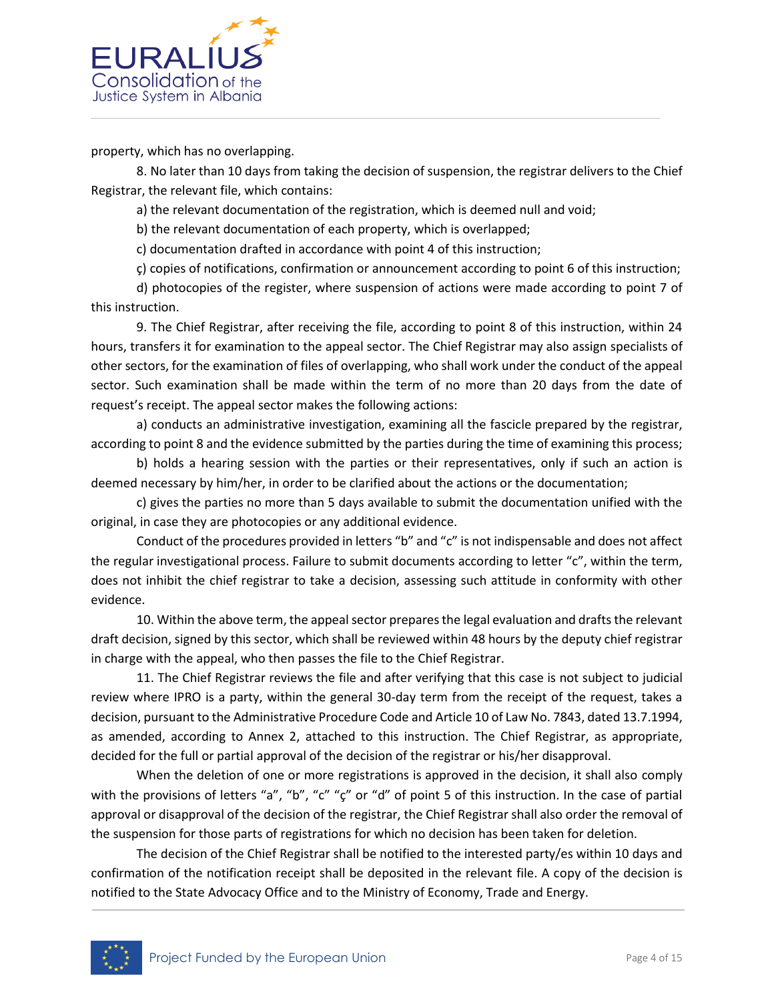

property, which has no overlapping.

8. No later than 10 days from taking the decision of suspension, the registrar delivers to the Chief Registrar, the relevant file, which contains:

a) the relevant documentation of the registration, which is deemed null and void;

b) the relevant documentation of each property, which is overlapped;

c) documentation drafted in accordance with point 4 of this instruction;

ç) copies of notifications, confirmation or announcement according to point 6 of this instruction;

d) photocopies of the register, where suspension of actions were made according to point 7 of this instruction.

9. The Chief Registrar, after receiving the file, according to point 8 of this instruction, within 24 hours, transfers it for examination to the appeal sector. The Chief Registrar may also assign specialists of other sectors, for the examination of files of overlapping, who shall work under the conduct of the appeal sector. Such examination shall be made within the term of no more than 20 days from the date of request's receipt. The appeal sector makes the following actions:

a) conducts an administrative investigation, examining all the fascicle prepared by the registrar, according to point 8 and the evidence submitted by the parties during the time of examining this process;

b) holds a hearing session with the parties or their representatives, only if such an action is deemed necessary by him/her, in order to be clarified about the actions or the documentation;

c) gives the parties no more than 5 days available to submit the documentation unified with the original, in case they are photocopies or any additional evidence.

Conduct of the procedures provided in letters "b" and "c" is not indispensable and does not affect the regular investigational process. Failure to submit documents according to letter "c", within the term, does not inhibit the chief registrar to take a decision, assessing such attitude in conformity with other evidence.

10. Within the above term, the appeal sector prepares the legal evaluation and drafts the relevant draft decision, signed by this sector, which shall be reviewed within 48 hours by the deputy chief registrar in charge with the appeal, who then passes the file to the Chief Registrar.

11. The Chief Registrar reviews the file and after verifying that this case is not subject to judicial review where IPRO is a party, within the general 30-day term from the receipt of the request, takes a decision, pursuant to the Administrative Procedure Code and Article 10 of Law No. 7843, dated 13.7.1994, as amended, according to Annex 2, attached to this instruction. The Chief Registrar, as appropriate, decided for the full or partial approval of the decision of the registrar or his/her disapproval.

When the deletion of one or more registrations is approved in the decision, it shall also comply with the provisions of letters "a", "b", "c" "c" or "d" of point 5 of this instruction. In the case of partial approval or disapproval of the decision of the registrar, the Chief Registrar shall also order the removal of the suspension for those parts of registrations for which no decision has been taken for deletion.

The decision of the Chief Registrar shall be notified to the interested party/es within 10 days and confirmation of the notification receipt shall be deposited in the relevant file. A copy of the decision is notified to the State Advocacy Office and to the Ministry of Economy, Trade and Energy.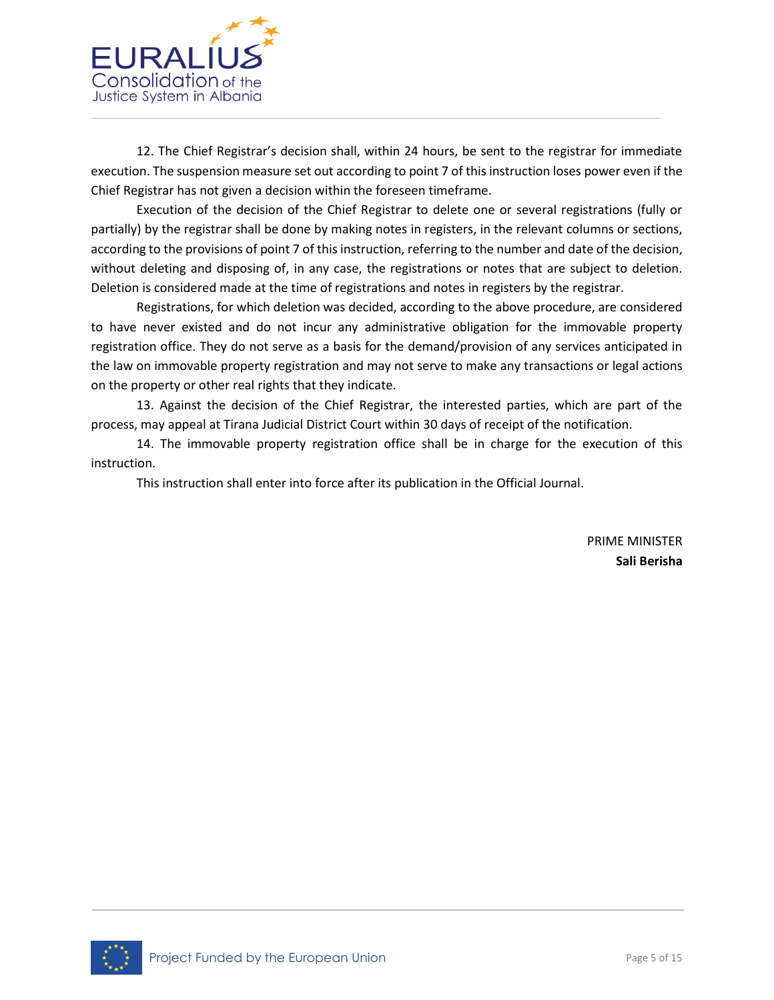

12. The Chief Registrar's decision shall, within 24 hours, be sent to the registrar for immediate execution. The suspension measure set out according to point 7 of this instruction loses power even if the Chief Registrar has not given a decision within the foreseen timeframe.

Execution of the decision of the Chief Registrar to delete one or several registrations (fully or partially) by the registrar shall be done by making notes in registers, in the relevant columns or sections, according to the provisions of point 7 of this instruction, referring to the number and date of the decision, without deleting and disposing of, in any case, the registrations or notes that are subject to deletion. Deletion is considered made at the time of registrations and notes in registers by the registrar.

Registrations, for which deletion was decided, according to the above procedure, are considered to have never existed and do not incur any administrative obligation for the immovable property registration office. They do not serve as a basis for the demand/provision of any services anticipated in the law on immovable property registration and may not serve to make any transactions or legal actions on the property or other real rights that they indicate.

13. Against the decision of the Chief Registrar, the interested parties, which are part of the process, may appeal at Tirana Judicial District Court within 30 days of receipt of the notification.

14. The immovable property registration office shall be in charge for the execution of this instruction.

This instruction shall enter into force after its publication in the Official Journal.

PRIME MINISTER **Sali Berisha**

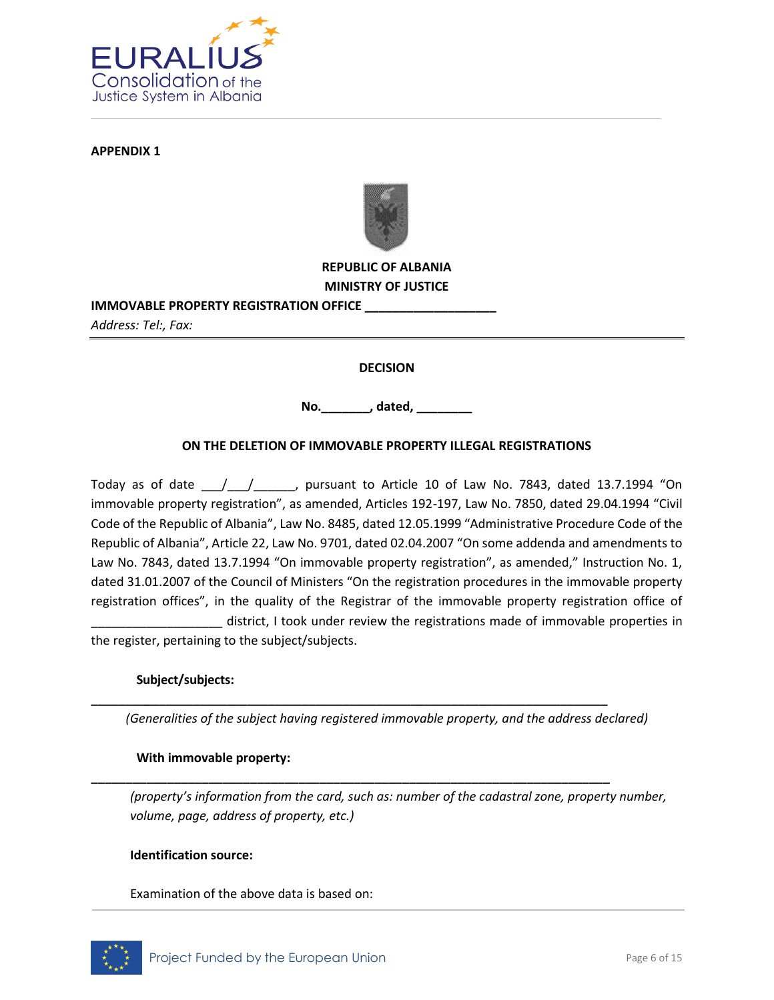

**APPENDIX 1**



## **REPUBLIC OF ALBANIA MINISTRY OF JUSTICE**

## **IMMOVABLE PROPERTY REGISTRATION OFFICE \_\_\_\_\_\_\_\_\_\_\_\_\_\_\_\_\_\_\_**

*Address: Tel:, Fax:*

### **DECISION**

**No.\_\_\_\_\_\_\_, dated, \_\_\_\_\_\_\_\_**

### **ON THE DELETION OF IMMOVABLE PROPERTY ILLEGAL REGISTRATIONS**

Today as of date  $\frac{1}{\sqrt{2}}$ , pursuant to Article 10 of Law No. 7843, dated 13.7.1994 "On immovable property registration", as amended, Articles 192-197, Law No. 7850, dated 29.04.1994 "Civil Code of the Republic of Albania", Law No. 8485, dated 12.05.1999 "Administrative Procedure Code of the Republic of Albania", Article 22, Law No. 9701, dated 02.04.2007 "On some addenda and amendments to Law No. 7843, dated 13.7.1994 "On immovable property registration", as amended," Instruction No. 1, dated 31.01.2007 of the Council of Ministers "On the registration procedures in the immovable property registration offices", in the quality of the Registrar of the immovable property registration office of \_\_\_\_\_\_\_\_\_\_\_\_\_\_\_\_\_\_\_ district, I took under review the registrations made of immovable properties in

the register, pertaining to the subject/subjects.

#### **Subject/subjects:**

*(Generalities of the subject having registered immovable property, and the address declared)*

**\_\_\_\_\_\_\_\_\_\_\_\_\_\_\_\_\_\_\_\_\_\_\_\_\_\_\_\_\_\_\_\_\_\_\_\_\_\_\_\_\_\_\_\_\_\_\_\_\_\_\_\_\_\_\_\_\_\_\_\_\_\_\_\_\_\_\_\_\_\_\_\_\_\_\_\_**

**\_\_\_\_\_\_\_\_\_\_\_\_\_\_\_\_\_\_\_\_\_\_\_\_\_\_\_\_\_\_\_\_\_\_\_\_\_\_\_\_\_\_\_\_\_\_\_\_\_\_\_\_\_\_\_\_\_\_\_\_\_\_\_\_\_\_\_\_\_\_\_\_\_\_\_**

#### **With immovable property:**

*(property's information from the card, such as: number of the cadastral zone, property number, volume, page, address of property, etc.)*

#### **Identification source:**

Examination of the above data is based on:

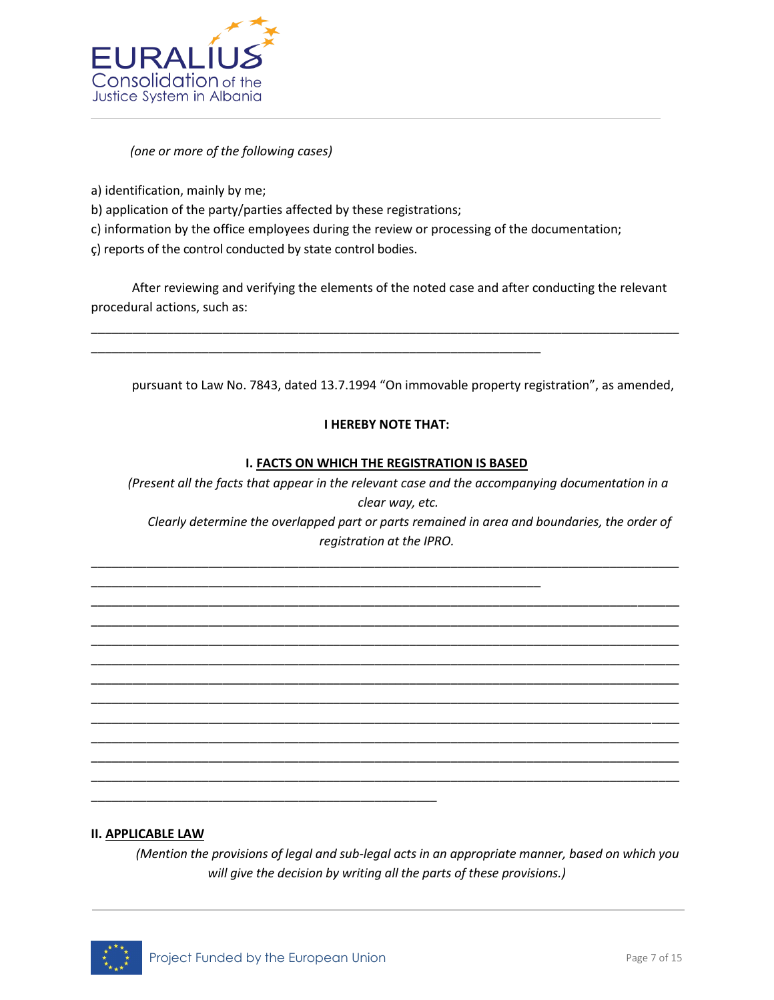

### *(one or more of the following cases)*

a) identification, mainly by me;

- b) application of the party/parties affected by these registrations;
- c) information by the office employees during the review or processing of the documentation;

\_\_\_\_\_\_\_\_\_\_\_\_\_\_\_\_\_\_\_\_\_\_\_\_\_\_\_\_\_\_\_\_\_\_\_\_\_\_\_\_\_\_\_\_\_\_\_\_\_\_\_\_\_\_\_\_\_\_\_\_\_\_\_\_\_

\_\_\_\_\_\_\_\_\_\_\_\_\_\_\_\_\_\_\_\_\_\_\_\_\_\_\_\_\_\_\_\_\_\_\_\_\_\_\_\_\_\_\_\_\_\_\_\_\_\_\_\_\_\_\_\_\_\_\_\_\_\_\_\_\_

ç) reports of the control conducted by state control bodies.

After reviewing and verifying the elements of the noted case and after conducting the relevant procedural actions, such as:

\_\_\_\_\_\_\_\_\_\_\_\_\_\_\_\_\_\_\_\_\_\_\_\_\_\_\_\_\_\_\_\_\_\_\_\_\_\_\_\_\_\_\_\_\_\_\_\_\_\_\_\_\_\_\_\_\_\_\_\_\_\_\_\_\_\_\_\_\_\_\_\_\_\_\_\_\_\_\_\_\_\_\_\_\_

pursuant to Law No. 7843, dated 13.7.1994 "On immovable property registration", as amended,

### **I HEREBY NOTE THAT:**

#### **I. FACTS ON WHICH THE REGISTRATION IS BASED**

\_\_\_\_\_\_\_\_\_\_\_\_\_\_\_\_\_\_\_\_\_\_\_\_\_\_\_\_\_\_\_\_\_\_\_\_\_\_\_\_\_\_\_\_\_\_\_\_\_\_\_\_\_\_\_\_\_\_\_\_\_\_\_\_\_\_\_\_\_\_\_\_\_\_\_\_\_\_\_\_\_\_\_\_\_

\_\_\_\_\_\_\_\_\_\_\_\_\_\_\_\_\_\_\_\_\_\_\_\_\_\_\_\_\_\_\_\_\_\_\_\_\_\_\_\_\_\_\_\_\_\_\_\_\_\_\_\_\_\_\_\_\_\_\_\_\_\_\_\_\_\_\_\_\_\_\_\_\_\_\_\_\_\_\_\_\_\_\_\_\_ \_\_\_\_\_\_\_\_\_\_\_\_\_\_\_\_\_\_\_\_\_\_\_\_\_\_\_\_\_\_\_\_\_\_\_\_\_\_\_\_\_\_\_\_\_\_\_\_\_\_\_\_\_\_\_\_\_\_\_\_\_\_\_\_\_\_\_\_\_\_\_\_\_\_\_\_\_\_\_\_\_\_\_\_\_ \_\_\_\_\_\_\_\_\_\_\_\_\_\_\_\_\_\_\_\_\_\_\_\_\_\_\_\_\_\_\_\_\_\_\_\_\_\_\_\_\_\_\_\_\_\_\_\_\_\_\_\_\_\_\_\_\_\_\_\_\_\_\_\_\_\_\_\_\_\_\_\_\_\_\_\_\_\_\_\_\_\_\_\_\_ \_\_\_\_\_\_\_\_\_\_\_\_\_\_\_\_\_\_\_\_\_\_\_\_\_\_\_\_\_\_\_\_\_\_\_\_\_\_\_\_\_\_\_\_\_\_\_\_\_\_\_\_\_\_\_\_\_\_\_\_\_\_\_\_\_\_\_\_\_\_\_\_\_\_\_\_\_\_\_\_\_\_\_\_\_ \_\_\_\_\_\_\_\_\_\_\_\_\_\_\_\_\_\_\_\_\_\_\_\_\_\_\_\_\_\_\_\_\_\_\_\_\_\_\_\_\_\_\_\_\_\_\_\_\_\_\_\_\_\_\_\_\_\_\_\_\_\_\_\_\_\_\_\_\_\_\_\_\_\_\_\_\_\_\_\_\_\_\_\_\_ \_\_\_\_\_\_\_\_\_\_\_\_\_\_\_\_\_\_\_\_\_\_\_\_\_\_\_\_\_\_\_\_\_\_\_\_\_\_\_\_\_\_\_\_\_\_\_\_\_\_\_\_\_\_\_\_\_\_\_\_\_\_\_\_\_\_\_\_\_\_\_\_\_\_\_\_\_\_\_\_\_\_\_\_\_ \_\_\_\_\_\_\_\_\_\_\_\_\_\_\_\_\_\_\_\_\_\_\_\_\_\_\_\_\_\_\_\_\_\_\_\_\_\_\_\_\_\_\_\_\_\_\_\_\_\_\_\_\_\_\_\_\_\_\_\_\_\_\_\_\_\_\_\_\_\_\_\_\_\_\_\_\_\_\_\_\_\_\_\_\_ \_\_\_\_\_\_\_\_\_\_\_\_\_\_\_\_\_\_\_\_\_\_\_\_\_\_\_\_\_\_\_\_\_\_\_\_\_\_\_\_\_\_\_\_\_\_\_\_\_\_\_\_\_\_\_\_\_\_\_\_\_\_\_\_\_\_\_\_\_\_\_\_\_\_\_\_\_\_\_\_\_\_\_\_\_ \_\_\_\_\_\_\_\_\_\_\_\_\_\_\_\_\_\_\_\_\_\_\_\_\_\_\_\_\_\_\_\_\_\_\_\_\_\_\_\_\_\_\_\_\_\_\_\_\_\_\_\_\_\_\_\_\_\_\_\_\_\_\_\_\_\_\_\_\_\_\_\_\_\_\_\_\_\_\_\_\_\_\_\_\_ \_\_\_\_\_\_\_\_\_\_\_\_\_\_\_\_\_\_\_\_\_\_\_\_\_\_\_\_\_\_\_\_\_\_\_\_\_\_\_\_\_\_\_\_\_\_\_\_\_\_\_\_\_\_\_\_\_\_\_\_\_\_\_\_\_\_\_\_\_\_\_\_\_\_\_\_\_\_\_\_\_\_\_\_\_

*(Present all the facts that appear in the relevant case and the accompanying documentation in a clear way, etc. Clearly determine the overlapped part or parts remained in area and boundaries, the order of registration at the IPRO.*

#### **II. APPLICABLE LAW**

*(Mention the provisions of legal and sub-legal acts in an appropriate manner, based on which you will give the decision by writing all the parts of these provisions.)*



\_\_\_\_\_\_\_\_\_\_\_\_\_\_\_\_\_\_\_\_\_\_\_\_\_\_\_\_\_\_\_\_\_\_\_\_\_\_\_\_\_\_\_\_\_\_\_\_\_\_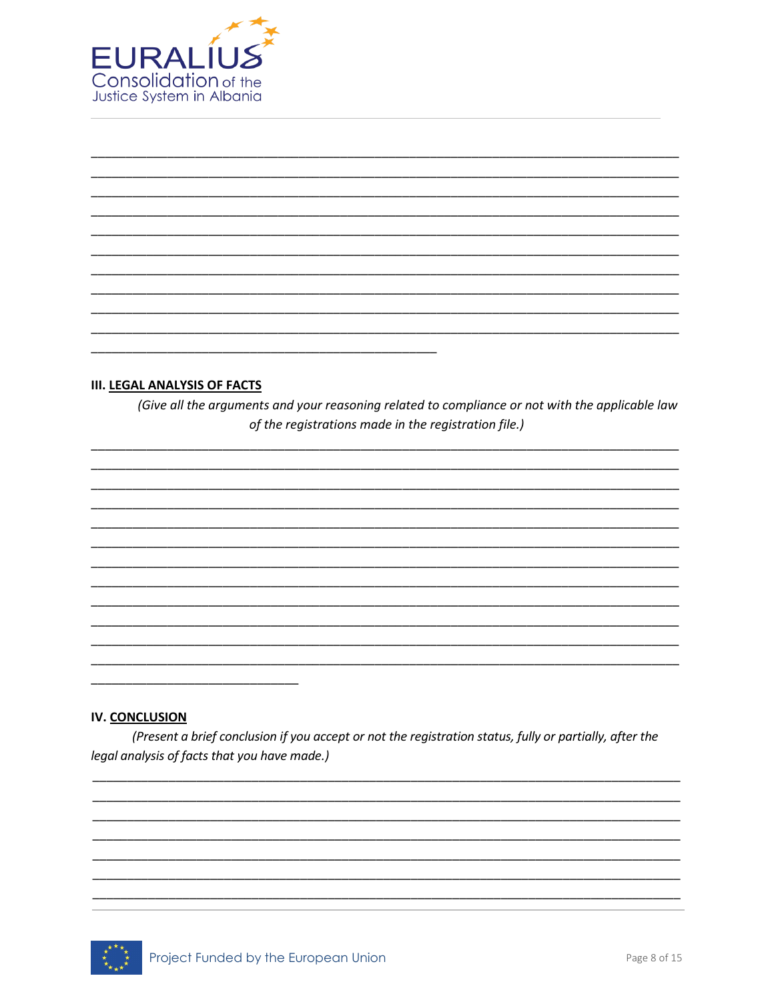

#### **III. LEGAL ANALYSIS OF FACTS**

(Give all the arguments and your reasoning related to compliance or not with the applicable law of the registrations made in the registration file.)

#### IV. CONCLUSION

(Present a brief conclusion if you accept or not the registration status, fully or partially, after the legal analysis of facts that you have made.)

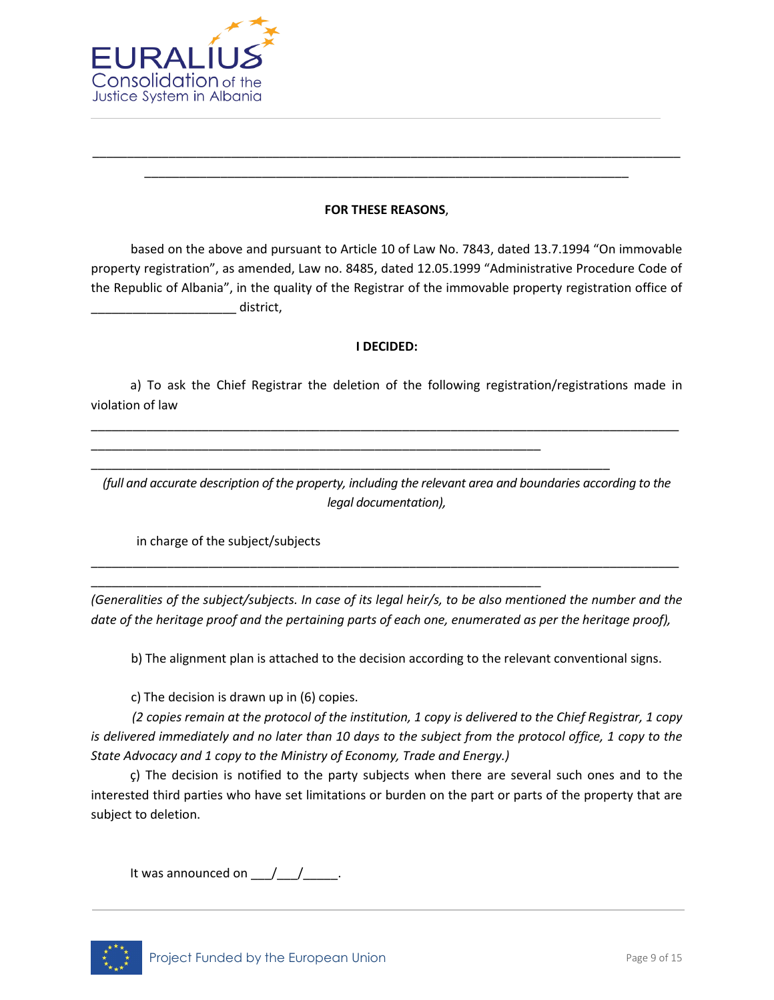

#### **FOR THESE REASONS**,

\_\_\_\_\_\_\_\_\_\_\_\_\_\_\_\_\_\_\_\_\_\_\_\_\_\_\_\_\_\_\_\_\_\_\_\_\_\_\_\_\_\_\_\_\_\_\_\_\_\_\_\_\_\_\_\_\_\_\_\_\_\_\_\_\_\_\_\_\_\_\_\_\_\_\_\_\_\_\_\_\_\_\_\_\_ \_\_\_\_\_\_\_\_\_\_\_\_\_\_\_\_\_\_\_\_\_\_\_\_\_\_\_\_\_\_\_\_\_\_\_\_\_\_\_\_\_\_\_\_\_\_\_\_\_\_\_\_\_\_\_\_\_\_\_\_\_\_\_\_\_\_\_\_\_\_

based on the above and pursuant to Article 10 of Law No. 7843, dated 13.7.1994 "On immovable property registration", as amended, Law no. 8485, dated 12.05.1999 "Administrative Procedure Code of the Republic of Albania", in the quality of the Registrar of the immovable property registration office of  $\blacksquare$  district,

#### **I DECIDED:**

a) To ask the Chief Registrar the deletion of the following registration/registrations made in violation of law

\_\_\_\_\_\_\_\_\_\_\_\_\_\_\_\_\_\_\_\_\_\_\_\_\_\_\_\_\_\_\_\_\_\_\_\_\_\_\_\_\_\_\_\_\_\_\_\_\_\_\_\_\_\_\_\_\_\_\_\_\_\_\_\_\_\_\_\_\_\_\_\_\_\_\_\_\_\_\_\_\_\_\_\_\_

\_\_\_\_\_\_\_\_\_\_\_\_\_\_\_\_\_\_\_\_\_\_\_\_\_\_\_\_\_\_\_\_\_\_\_\_\_\_\_\_\_\_\_\_\_\_\_\_\_\_\_\_\_\_\_\_\_\_\_\_\_\_\_\_\_

\_\_\_\_\_\_\_\_\_\_\_\_\_\_\_\_\_\_\_\_\_\_\_\_\_\_\_\_\_\_\_\_\_\_\_\_\_\_\_\_\_\_\_\_\_\_\_\_\_\_\_\_\_\_\_\_\_\_\_\_\_\_\_\_\_

\_\_\_\_\_\_\_\_\_\_\_\_\_\_\_\_\_\_\_\_\_\_\_\_\_\_\_\_\_\_\_\_\_\_\_\_\_\_\_\_\_\_\_\_\_\_\_\_\_\_\_\_\_\_\_\_\_\_\_\_\_\_\_\_\_\_\_\_\_\_\_\_\_\_\_

*(full and accurate description of the property, including the relevant area and boundaries according to the legal documentation),*

in charge of the subject/subjects

*(Generalities of the subject/subjects. In case of its legal heir/s, to be also mentioned the number and the date of the heritage proof and the pertaining parts of each one, enumerated as per the heritage proof),*

\_\_\_\_\_\_\_\_\_\_\_\_\_\_\_\_\_\_\_\_\_\_\_\_\_\_\_\_\_\_\_\_\_\_\_\_\_\_\_\_\_\_\_\_\_\_\_\_\_\_\_\_\_\_\_\_\_\_\_\_\_\_\_\_\_\_\_\_\_\_\_\_\_\_\_\_\_\_\_\_\_\_\_\_\_

b) The alignment plan is attached to the decision according to the relevant conventional signs.

c) The decision is drawn up in (6) copies.

*(2 copies remain at the protocol of the institution, 1 copy is delivered to the Chief Registrar, 1 copy is delivered immediately and no later than 10 days to the subject from the protocol office, 1 copy to the State Advocacy and 1 copy to the Ministry of Economy, Trade and Energy.)*

ç) The decision is notified to the party subjects when there are several such ones and to the interested third parties who have set limitations or burden on the part or parts of the property that are subject to deletion.

It was announced on  $\underline{\hspace{1cm}}$  / \_\_\_\_\_\_.

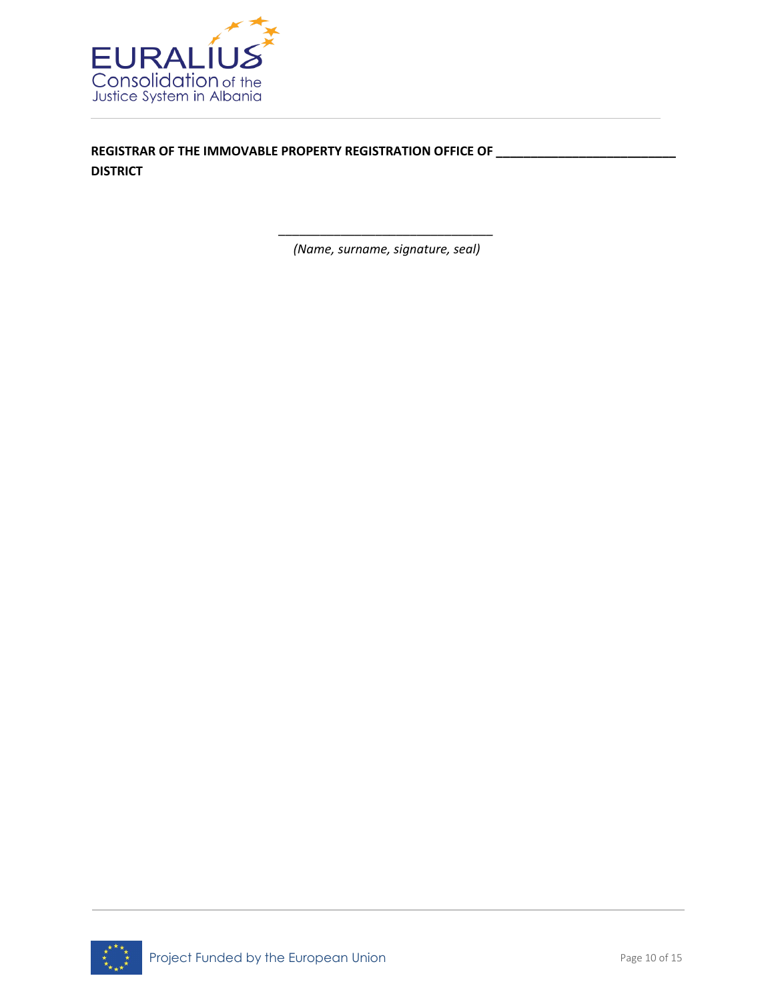

**REGISTRAR OF THE IMMOVABLE PROPERTY REGISTRATION OFFICE OF \_\_\_\_\_\_\_\_\_\_\_\_\_\_\_\_\_\_\_\_\_\_\_\_\_\_ DISTRICT**

> *\_\_\_\_\_\_\_\_\_\_\_\_\_\_\_\_\_\_\_\_\_\_\_\_\_\_\_\_\_\_\_ (Name, surname, signature, seal)*

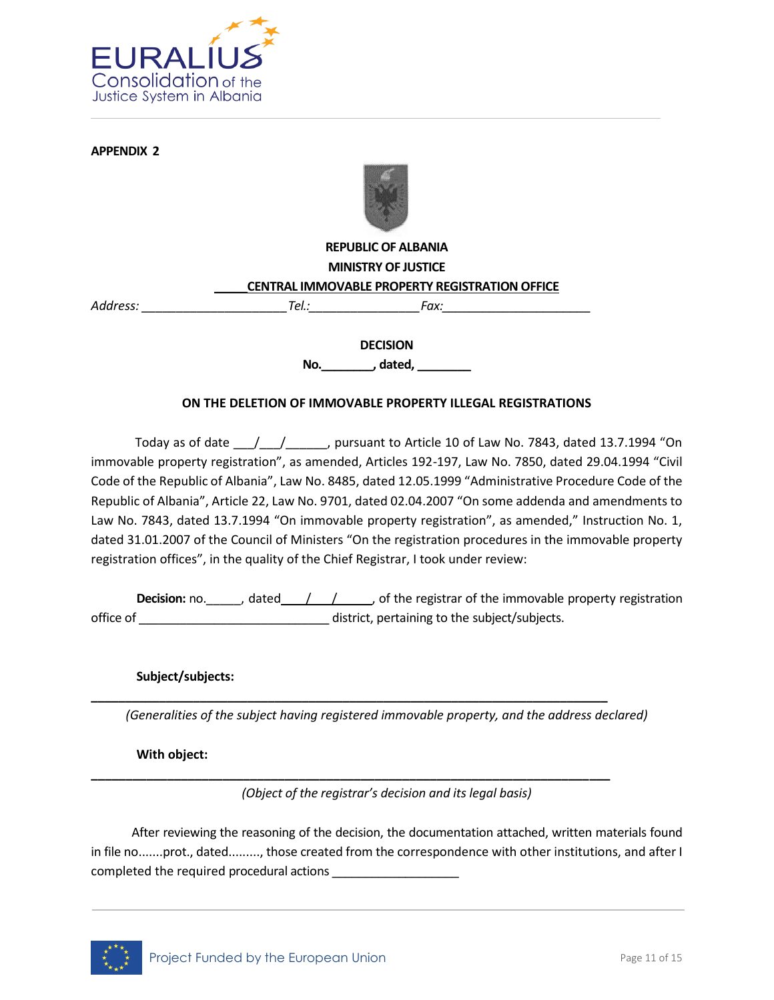

**APPENDIX 2**



## **REPUBLIC OF ALBANIA MINISTRY OF JUSTICE \_\_\_\_\_CENTRAL IMMOVABLE PROPERTY REGISTRATION OFFICE**

Address: Tel.: Tel.: Fax:

**DECISION**

**No.\_\_\_\_\_\_\_\_, dated, \_\_\_\_\_\_\_\_**

#### **ON THE DELETION OF IMMOVABLE PROPERTY ILLEGAL REGISTRATIONS**

Today as of date  $\frac{1}{\frac{1}{\sqrt{2}} \cdot \frac{1}{\sqrt{2}} \cdot \frac{1}{\sqrt{2}}}$ , pursuant to Article 10 of Law No. 7843, dated 13.7.1994 "On immovable property registration", as amended, Articles 192-197, Law No. 7850, dated 29.04.1994 "Civil Code of the Republic of Albania", Law No. 8485, dated 12.05.1999 "Administrative Procedure Code of the Republic of Albania", Article 22, Law No. 9701, dated 02.04.2007 "On some addenda and amendments to Law No. 7843, dated 13.7.1994 "On immovable property registration", as amended," Instruction No. 1, dated 31.01.2007 of the Council of Ministers "On the registration procedures in the immovable property registration offices", in the quality of the Chief Registrar, I took under review:

**Decision:** no. \_\_\_\_\_, dated  $\frac{1}{\sqrt{2}}$  / \_\_\_\_, of the registrar of the immovable property registration office of \_\_\_\_\_\_\_\_\_\_\_\_\_\_\_\_\_\_\_\_\_\_\_\_\_\_\_\_ district, pertaining to the subject/subjects.

**Subject/subjects:**

*(Generalities of the subject having registered immovable property, and the address declared)*

**\_\_\_\_\_\_\_\_\_\_\_\_\_\_\_\_\_\_\_\_\_\_\_\_\_\_\_\_\_\_\_\_\_\_\_\_\_\_\_\_\_\_\_\_\_\_\_\_\_\_\_\_\_\_\_\_\_\_\_\_\_\_\_\_\_\_\_\_\_\_\_\_\_\_\_\_**

**\_\_\_\_\_\_\_\_\_\_\_\_\_\_\_\_\_\_\_\_\_\_\_\_\_\_\_\_\_\_\_\_\_\_\_\_\_\_\_\_\_\_\_\_\_\_\_\_\_\_\_\_\_\_\_\_\_\_\_\_\_\_\_\_\_\_\_\_\_\_\_\_\_\_\_**

**With object:**

*(Object of the registrar's decision and its legal basis)*

After reviewing the reasoning of the decision, the documentation attached, written materials found in file no.......prot., dated........., those created from the correspondence with other institutions, and after I completed the required procedural actions

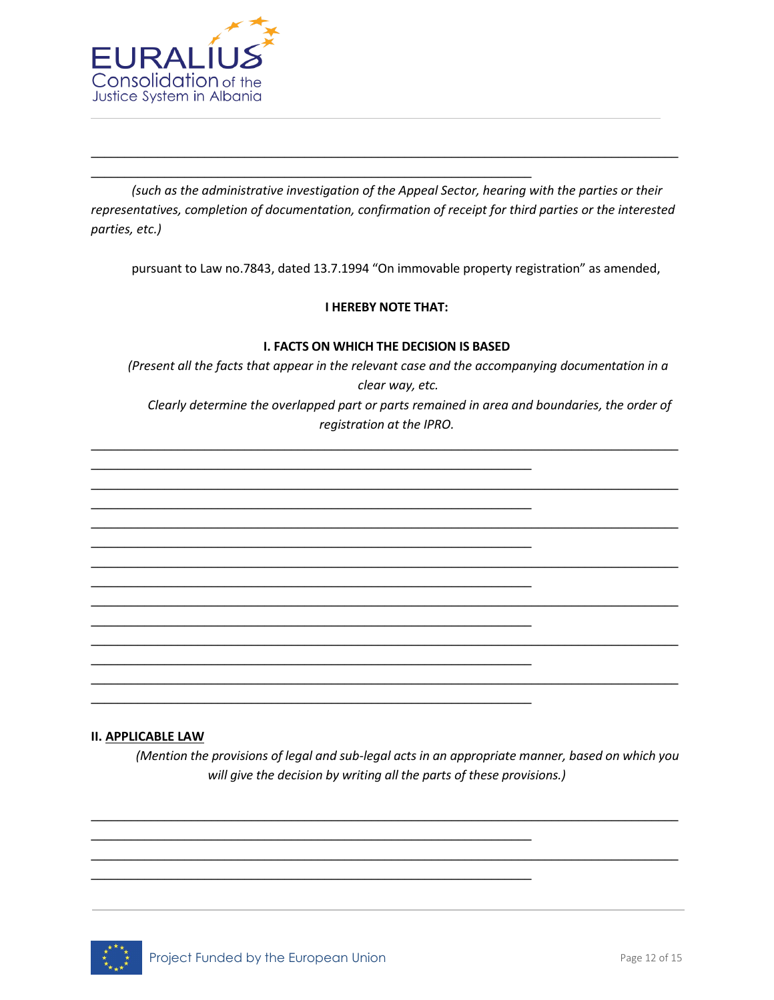

*(such as the administrative investigation of the Appeal Sector, hearing with the parties or their representatives, completion of documentation, confirmation of receipt for third parties or the interested parties, etc.)*

\_\_\_\_\_\_\_\_\_\_\_\_\_\_\_\_\_\_\_\_\_\_\_\_\_\_\_\_\_\_\_\_\_\_\_\_\_\_\_\_\_\_\_\_\_\_\_\_\_\_\_\_\_\_\_\_\_\_\_\_\_\_\_\_\_\_\_\_\_\_\_\_\_\_\_\_\_\_\_\_\_\_\_\_\_\_\_\_

\_\_\_\_\_\_\_\_\_\_\_\_\_\_\_\_\_\_\_\_\_\_\_\_\_\_\_\_\_\_\_\_\_\_\_\_\_\_\_\_\_\_\_\_\_\_\_\_\_\_\_\_\_\_\_\_\_\_\_\_\_\_\_\_\_\_

\_\_\_\_\_\_\_\_\_\_\_\_\_\_\_\_\_\_\_\_\_\_\_\_\_\_\_\_\_\_\_\_\_\_\_\_\_\_\_\_\_\_\_\_\_\_\_\_\_\_\_\_\_\_\_\_\_\_\_\_\_\_\_\_\_\_

\_\_\_\_\_\_\_\_\_\_\_\_\_\_\_\_\_\_\_\_\_\_\_\_\_\_\_\_\_\_\_\_\_\_\_\_\_\_\_\_\_\_\_\_\_\_\_\_\_\_\_\_\_\_\_\_\_\_\_\_\_\_\_\_\_\_

\_\_\_\_\_\_\_\_\_\_\_\_\_\_\_\_\_\_\_\_\_\_\_\_\_\_\_\_\_\_\_\_\_\_\_\_\_\_\_\_\_\_\_\_\_\_\_\_\_\_\_\_\_\_\_\_\_\_\_\_\_\_\_\_\_\_

\_\_\_\_\_\_\_\_\_\_\_\_\_\_\_\_\_\_\_\_\_\_\_\_\_\_\_\_\_\_\_\_\_\_\_\_\_\_\_\_\_\_\_\_\_\_\_\_\_\_\_\_\_\_\_\_\_\_\_\_\_\_\_\_\_\_

\_\_\_\_\_\_\_\_\_\_\_\_\_\_\_\_\_\_\_\_\_\_\_\_\_\_\_\_\_\_\_\_\_\_\_\_\_\_\_\_\_\_\_\_\_\_\_\_\_\_\_\_\_\_\_\_\_\_\_\_\_\_\_\_\_\_

\_\_\_\_\_\_\_\_\_\_\_\_\_\_\_\_\_\_\_\_\_\_\_\_\_\_\_\_\_\_\_\_\_\_\_\_\_\_\_\_\_\_\_\_\_\_\_\_\_\_\_\_\_\_\_\_\_\_\_\_\_\_\_\_\_\_

\_\_\_\_\_\_\_\_\_\_\_\_\_\_\_\_\_\_\_\_\_\_\_\_\_\_\_\_\_\_\_\_\_\_\_\_\_\_\_\_\_\_\_\_\_\_\_\_\_\_\_\_\_\_\_\_\_\_\_\_\_\_\_\_\_\_

\_\_\_\_\_\_\_\_\_\_\_\_\_\_\_\_\_\_\_\_\_\_\_\_\_\_\_\_\_\_\_\_\_\_\_\_\_\_\_\_\_\_\_\_\_\_\_\_\_\_\_\_\_\_\_\_\_\_\_\_\_\_\_\_\_\_

\_\_\_\_\_\_\_\_\_\_\_\_\_\_\_\_\_\_\_\_\_\_\_\_\_\_\_\_\_\_\_\_\_\_\_\_\_\_\_\_\_\_\_\_\_\_\_\_\_\_\_\_\_\_\_\_\_\_\_\_\_\_\_\_\_\_

pursuant to Law no.7843, dated 13.7.1994 "On immovable property registration" as amended,

#### **I HEREBY NOTE THAT:**

#### **I. FACTS ON WHICH THE DECISION IS BASED**

*(Present all the facts that appear in the relevant case and the accompanying documentation in a clear way, etc. Clearly determine the overlapped part or parts remained in area and boundaries, the order of* 

*registration at the IPRO.* \_\_\_\_\_\_\_\_\_\_\_\_\_\_\_\_\_\_\_\_\_\_\_\_\_\_\_\_\_\_\_\_\_\_\_\_\_\_\_\_\_\_\_\_\_\_\_\_\_\_\_\_\_\_\_\_\_\_\_\_\_\_\_\_\_\_\_\_\_\_\_\_\_\_\_\_\_\_\_\_\_\_\_\_\_\_\_\_

\_\_\_\_\_\_\_\_\_\_\_\_\_\_\_\_\_\_\_\_\_\_\_\_\_\_\_\_\_\_\_\_\_\_\_\_\_\_\_\_\_\_\_\_\_\_\_\_\_\_\_\_\_\_\_\_\_\_\_\_\_\_\_\_\_\_\_\_\_\_\_\_\_\_\_\_\_\_\_\_\_\_\_\_\_\_\_\_

\_\_\_\_\_\_\_\_\_\_\_\_\_\_\_\_\_\_\_\_\_\_\_\_\_\_\_\_\_\_\_\_\_\_\_\_\_\_\_\_\_\_\_\_\_\_\_\_\_\_\_\_\_\_\_\_\_\_\_\_\_\_\_\_\_\_\_\_\_\_\_\_\_\_\_\_\_\_\_\_\_\_\_\_\_\_\_\_

\_\_\_\_\_\_\_\_\_\_\_\_\_\_\_\_\_\_\_\_\_\_\_\_\_\_\_\_\_\_\_\_\_\_\_\_\_\_\_\_\_\_\_\_\_\_\_\_\_\_\_\_\_\_\_\_\_\_\_\_\_\_\_\_\_\_\_\_\_\_\_\_\_\_\_\_\_\_\_\_\_\_\_\_\_\_\_\_

\_\_\_\_\_\_\_\_\_\_\_\_\_\_\_\_\_\_\_\_\_\_\_\_\_\_\_\_\_\_\_\_\_\_\_\_\_\_\_\_\_\_\_\_\_\_\_\_\_\_\_\_\_\_\_\_\_\_\_\_\_\_\_\_\_\_\_\_\_\_\_\_\_\_\_\_\_\_\_\_\_\_\_\_\_\_\_\_

\_\_\_\_\_\_\_\_\_\_\_\_\_\_\_\_\_\_\_\_\_\_\_\_\_\_\_\_\_\_\_\_\_\_\_\_\_\_\_\_\_\_\_\_\_\_\_\_\_\_\_\_\_\_\_\_\_\_\_\_\_\_\_\_\_\_\_\_\_\_\_\_\_\_\_\_\_\_\_\_\_\_\_\_\_\_\_\_

\_\_\_\_\_\_\_\_\_\_\_\_\_\_\_\_\_\_\_\_\_\_\_\_\_\_\_\_\_\_\_\_\_\_\_\_\_\_\_\_\_\_\_\_\_\_\_\_\_\_\_\_\_\_\_\_\_\_\_\_\_\_\_\_\_\_\_\_\_\_\_\_\_\_\_\_\_\_\_\_\_\_\_\_\_\_\_\_

\_\_\_\_\_\_\_\_\_\_\_\_\_\_\_\_\_\_\_\_\_\_\_\_\_\_\_\_\_\_\_\_\_\_\_\_\_\_\_\_\_\_\_\_\_\_\_\_\_\_\_\_\_\_\_\_\_\_\_\_\_\_\_\_\_\_\_\_\_\_\_\_\_\_\_\_\_\_\_\_\_\_\_\_\_\_\_\_

\_\_\_\_\_\_\_\_\_\_\_\_\_\_\_\_\_\_\_\_\_\_\_\_\_\_\_\_\_\_\_\_\_\_\_\_\_\_\_\_\_\_\_\_\_\_\_\_\_\_\_\_\_\_\_\_\_\_\_\_\_\_\_\_\_\_\_\_\_\_\_\_\_\_\_\_\_\_\_\_\_\_\_\_\_\_\_\_

#### **II. APPLICABLE LAW**

*(Mention the provisions of legal and sub-legal acts in an appropriate manner, based on which you will give the decision by writing all the parts of these provisions.)*

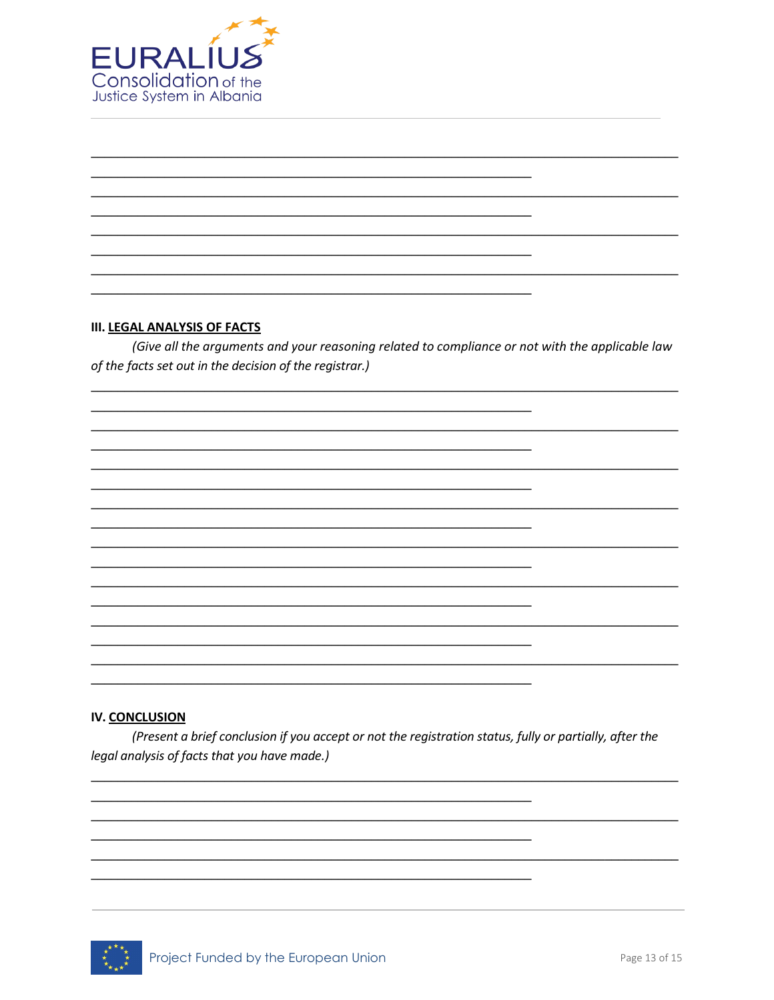

#### **III. LEGAL ANALYSIS OF FACTS**

(Give all the arguments and your reasoning related to compliance or not with the applicable law of the facts set out in the decision of the registrar.)

#### **IV. CONCLUSION**

(Present a brief conclusion if you accept or not the registration status, fully or partially, after the legal analysis of facts that you have made.)

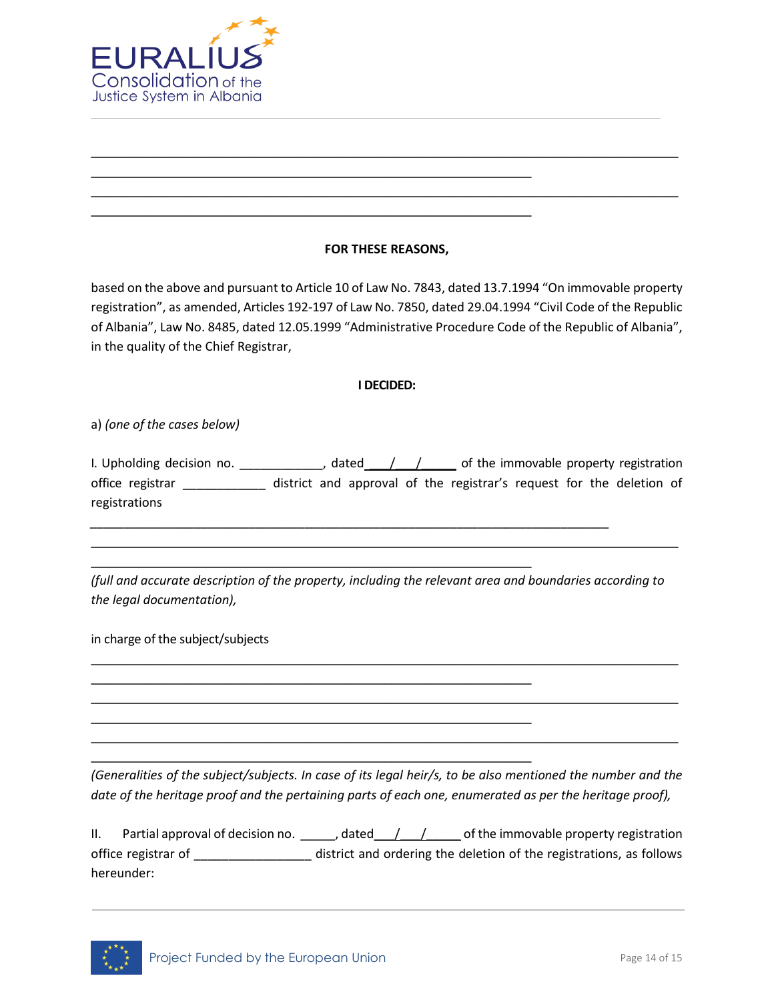

## **FOR THESE REASONS,**

\_\_\_\_\_\_\_\_\_\_\_\_\_\_\_\_\_\_\_\_\_\_\_\_\_\_\_\_\_\_\_\_\_\_\_\_\_\_\_\_\_\_\_\_\_\_\_\_\_\_\_\_\_\_\_\_\_\_\_\_\_\_\_\_\_\_\_\_\_\_\_\_\_\_\_\_\_\_\_\_\_\_\_\_\_\_\_\_

\_\_\_\_\_\_\_\_\_\_\_\_\_\_\_\_\_\_\_\_\_\_\_\_\_\_\_\_\_\_\_\_\_\_\_\_\_\_\_\_\_\_\_\_\_\_\_\_\_\_\_\_\_\_\_\_\_\_\_\_\_\_\_\_\_\_\_\_\_\_\_\_\_\_\_\_\_\_\_\_\_\_\_\_\_\_\_\_

\_\_\_\_\_\_\_\_\_\_\_\_\_\_\_\_\_\_\_\_\_\_\_\_\_\_\_\_\_\_\_\_\_\_\_\_\_\_\_\_\_\_\_\_\_\_\_\_\_\_\_\_\_\_\_\_\_\_\_\_\_\_\_\_\_\_

\_\_\_\_\_\_\_\_\_\_\_\_\_\_\_\_\_\_\_\_\_\_\_\_\_\_\_\_\_\_\_\_\_\_\_\_\_\_\_\_\_\_\_\_\_\_\_\_\_\_\_\_\_\_\_\_\_\_\_\_\_\_\_\_\_\_

based on the above and pursuant to Article 10 of Law No. 7843, dated 13.7.1994 "On immovable property registration", as amended, Articles 192-197 of Law No. 7850, dated 29.04.1994 "Civil Code of the Republic of Albania", Law No. 8485, dated 12.05.1999 "Administrative Procedure Code of the Republic of Albania", in the quality of the Chief Registrar,

#### **I DECIDED:**

a) *(one of the cases below)*

I. Upholding decision no. \_\_\_\_\_\_\_\_\_\_\_\_, dated  $\frac{1}{\sqrt{1-\frac{1}{n}}}$  of the immovable property registration office registrar \_\_\_\_\_\_\_\_\_\_\_\_\_ district and approval of the registrar's request for the deletion of registrations

*(full and accurate description of the property, including the relevant area and boundaries according to the legal documentation),*

\_\_\_\_\_\_\_\_\_\_\_\_\_\_\_\_\_\_\_\_\_\_\_\_\_\_\_\_\_\_\_\_\_\_\_\_\_\_\_\_\_\_\_\_\_\_\_\_\_\_\_\_\_\_\_\_\_\_\_\_\_\_\_\_\_\_\_\_\_\_\_\_\_\_\_\_\_\_\_\_\_\_\_\_\_\_\_\_

\_\_\_\_\_\_\_\_\_\_\_\_\_\_\_\_\_\_\_\_\_\_\_\_\_\_\_\_\_\_\_\_\_\_\_\_\_\_\_\_\_\_\_\_\_\_\_\_\_\_\_\_\_\_\_\_\_\_\_\_\_\_\_\_\_\_\_\_\_\_\_\_\_\_\_\_\_\_\_\_\_\_\_\_\_\_\_\_

\_\_\_\_\_\_\_\_\_\_\_\_\_\_\_\_\_\_\_\_\_\_\_\_\_\_\_\_\_\_\_\_\_\_\_\_\_\_\_\_\_\_\_\_\_\_\_\_\_\_\_\_\_\_\_\_\_\_\_\_\_\_\_\_\_\_\_\_\_\_\_\_\_\_\_\_\_\_\_\_\_\_\_\_\_\_\_\_

\_\_\_\_\_\_\_\_\_\_\_\_\_\_\_\_\_\_\_\_\_\_\_\_\_\_\_\_\_\_\_\_\_\_\_\_\_\_\_\_\_\_\_\_\_\_\_\_\_\_\_\_\_\_\_\_\_\_\_\_\_\_\_\_\_\_\_\_\_\_\_\_\_\_\_\_\_\_\_\_\_\_\_\_\_\_\_\_

*\_\_\_\_\_\_\_\_\_\_\_\_\_\_\_\_\_\_\_\_\_\_\_\_\_\_\_\_\_\_\_\_\_\_\_\_\_\_\_\_\_\_\_\_\_\_\_\_\_\_\_\_\_\_\_\_\_\_\_\_\_\_\_\_\_\_\_\_\_\_\_\_\_\_\_* 

\_\_\_\_\_\_\_\_\_\_\_\_\_\_\_\_\_\_\_\_\_\_\_\_\_\_\_\_\_\_\_\_\_\_\_\_\_\_\_\_\_\_\_\_\_\_\_\_\_\_\_\_\_\_\_\_\_\_\_\_\_\_\_\_\_\_

\_\_\_\_\_\_\_\_\_\_\_\_\_\_\_\_\_\_\_\_\_\_\_\_\_\_\_\_\_\_\_\_\_\_\_\_\_\_\_\_\_\_\_\_\_\_\_\_\_\_\_\_\_\_\_\_\_\_\_\_\_\_\_\_\_\_

\_\_\_\_\_\_\_\_\_\_\_\_\_\_\_\_\_\_\_\_\_\_\_\_\_\_\_\_\_\_\_\_\_\_\_\_\_\_\_\_\_\_\_\_\_\_\_\_\_\_\_\_\_\_\_\_\_\_\_\_\_\_\_\_\_\_

\_\_\_\_\_\_\_\_\_\_\_\_\_\_\_\_\_\_\_\_\_\_\_\_\_\_\_\_\_\_\_\_\_\_\_\_\_\_\_\_\_\_\_\_\_\_\_\_\_\_\_\_\_\_\_\_\_\_\_\_\_\_\_\_\_\_

in charge of the subject/subjects

*(Generalities of the subject/subjects. In case of its legal heir/s, to be also mentioned the number and the date of the heritage proof and the pertaining parts of each one, enumerated as per the heritage proof),*

II. Partial approval of decision no.  $\frac{1}{2}$ , dated  $\frac{1}{2}$  of the immovable property registration office registrar of \_\_\_\_\_\_\_\_\_\_\_\_\_\_\_\_\_ district and ordering the deletion of the registrations, as follows hereunder: